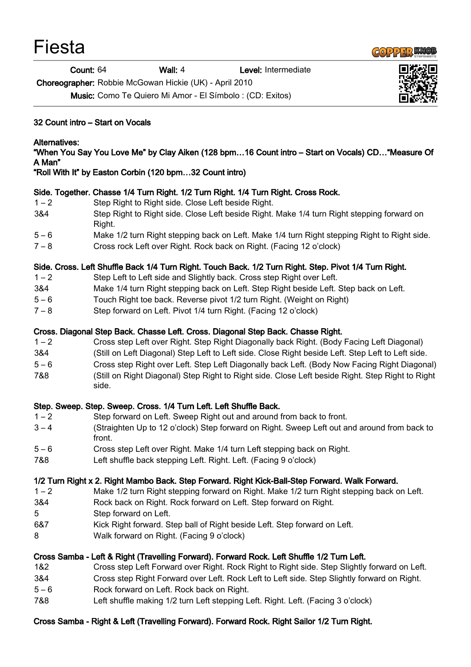| Fiesta |
|--------|
|        |



Count: 64 Wall: 4 Level: Intermediate

Choreographer: Robbie McGowan Hickie (UK) - April 2010

Music: Como Te Quiero Mi Amor - El Símbolo : (CD: Exitos)

#### 32 Count intro – Start on Vocals

#### Alternatives:

"When You Say You Love Me" by Clay Aiken (128 bpm…16 Count intro – Start on Vocals) CD…"Measure Of A Man"

"Roll With It" by Easton Corbin (120 bpm…32 Count intro)

## Side. Together. Chasse 1/4 Turn Right. 1/2 Turn Right. 1/4 Turn Right. Cross Rock.

- 1 2 Step Right to Right side. Close Left beside Right.
- 3&4 Step Right to Right side. Close Left beside Right. Make 1/4 turn Right stepping forward on Right.
- 5 6 Make 1/2 turn Right stepping back on Left. Make 1/4 turn Right stepping Right to Right side.
- 7 8 Cross rock Left over Right. Rock back on Right. (Facing 12 o'clock)

## Side. Cross. Left Shuffle Back 1/4 Turn Right. Touch Back. 1/2 Turn Right. Step. Pivot 1/4 Turn Right.

- 1 2 Step Left to Left side and Slightly back. Cross step Right over Left.
- 3&4 Make 1/4 turn Right stepping back on Left. Step Right beside Left. Step back on Left.
- 5 6 Touch Right toe back. Reverse pivot 1/2 turn Right. (Weight on Right)
- 7 8 Step forward on Left. Pivot 1/4 turn Right. (Facing 12 o'clock)

#### Cross. Diagonal Step Back. Chasse Left. Cross. Diagonal Step Back. Chasse Right.

- 1 2 Cross step Left over Right. Step Right Diagonally back Right. (Body Facing Left Diagonal)
- 3&4 (Still on Left Diagonal) Step Left to Left side. Close Right beside Left. Step Left to Left side.
- 5 6 Cross step Right over Left. Step Left Diagonally back Left. (Body Now Facing Right Diagonal)
- 7&8 (Still on Right Diagonal) Step Right to Right side. Close Left beside Right. Step Right to Right side.

## Step. Sweep. Step. Sweep. Cross. 1/4 Turn Left. Left Shuffle Back.

- 1 2 Step forward on Left. Sweep Right out and around from back to front.
- 3 4 (Straighten Up to 12 o'clock) Step forward on Right. Sweep Left out and around from back to front.
- 5 6 Cross step Left over Right. Make 1/4 turn Left stepping back on Right.
- 7&8 Left shuffle back stepping Left. Right. Left. (Facing 9 o'clock)

## 1/2 Turn Right x 2. Right Mambo Back. Step Forward. Right Kick-Ball-Step Forward. Walk Forward.

- 1 2 Make 1/2 turn Right stepping forward on Right. Make 1/2 turn Right stepping back on Left.
- 3&4 Rock back on Right. Rock forward on Left. Step forward on Right.
- 5 Step forward on Left.
- 6&7 Kick Right forward. Step ball of Right beside Left. Step forward on Left.
- 8 Walk forward on Right. (Facing 9 o'clock)

## Cross Samba - Left & Right (Travelling Forward). Forward Rock. Left Shuffle 1/2 Turn Left.

- 1&2 Cross step Left Forward over Right. Rock Right to Right side. Step Slightly forward on Left.
- 3&4 Cross step Right Forward over Left. Rock Left to Left side. Step Slightly forward on Right.
- 5 6 Rock forward on Left. Rock back on Right.
- 7&8 Left shuffle making 1/2 turn Left stepping Left. Right. Left. (Facing 3 o'clock)

# Cross Samba - Right & Left (Travelling Forward). Forward Rock. Right Sailor 1/2 Turn Right.